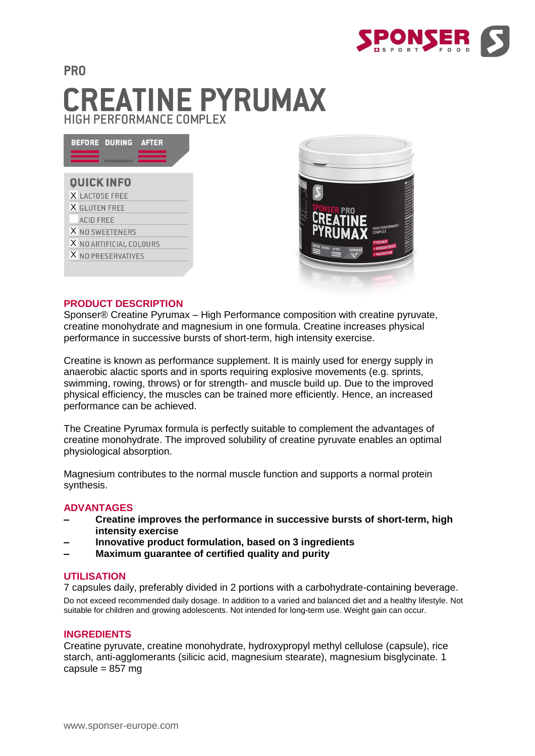

# **PRO CREATINE PYRUMAX** HIGH PERFORMANCE COMPLEX

| <b>BEFORE DURING</b><br><b>AFTER</b> |
|--------------------------------------|
| <b>QUICK INFO</b>                    |
| X LACTOSE FREE                       |
| X GLUTEN FREE                        |
| <b>ACID FREE</b>                     |
| X NO SWEETENERS                      |
| X NO ARTIFICIAL COLOURS              |
| X NO PRESERVATIVES                   |
|                                      |



#### **PRODUCT DESCRIPTION**

Sponser® Creatine Pyrumax – High Performance composition with creatine pyruvate, creatine monohydrate and magnesium in one formula. Creatine increases physical performance in successive bursts of short-term, high intensity exercise.

Creatine is known as performance supplement. It is mainly used for energy supply in anaerobic alactic sports and in sports requiring explosive movements (e.g. sprints, swimming, rowing, throws) or for strength- and muscle build up. Due to the improved physical efficiency, the muscles can be trained more efficiently. Hence, an increased performance can be achieved.

The Creatine Pyrumax formula is perfectly suitable to complement the advantages of creatine monohydrate. The improved solubility of creatine pyruvate enables an optimal physiological absorption.

Magnesium contributes to the normal muscle function and supports a normal protein synthesis.

#### **ADVANTAGES**

- **– Creatine improves the performance in successive bursts of short-term, high intensity exercise**
- **– Innovative product formulation, based on 3 ingredients**
- **– Maximum guarantee of certified quality and purity**

#### **UTILISATION**

7 capsules daily, preferably divided in 2 portions with a carbohydrate-containing beverage. Do not exceed recommended daily dosage. In addition to a varied and balanced diet and a healthy lifestyle. Not suitable for children and growing adolescents. Not intended for long-term use. Weight gain can occur.

### **INGREDIENTS**

Creatine pyruvate, creatine monohydrate, hydroxypropyl methyl cellulose (capsule), rice starch, anti-agglomerants (silicic acid, magnesium stearate), magnesium bisglycinate. 1 capsule = 857 mg